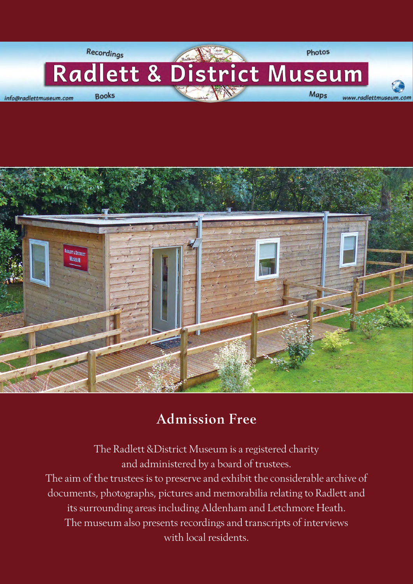



### Admission Free

The Radlett &District Museum is a registered charity and administered by a board of trustees. The aim of the trustees is to preserve and exhibit the considerable archive of documents, photographs, pictures and memorabilia relating to Radlett and its surrounding areas including Aldenham and Letchmore Heath. The museum also presents recordings and transcripts of interviews with local residents.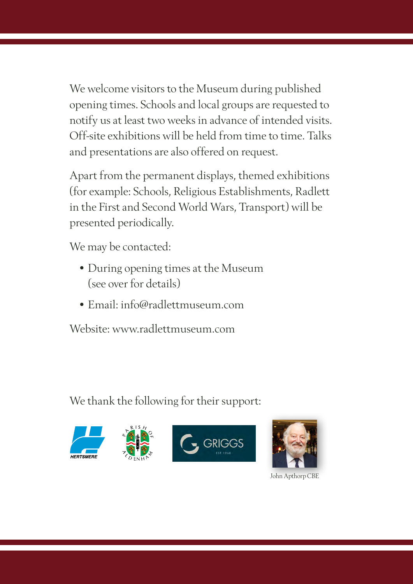We welcome visitors to the Museum during published opening times. Schools and local groups are requested to notify us at least two weeks in advance of intended visits. Off-site exhibitions will be held from time to time. Talks and presentations are also offered on request.

Apart from the permanent displays, themed exhibitions (for example: Schools, Religious Establishments, Radlett in the First and Second World Wars, Transport) will be presented periodically.

We may be contacted:

- During opening times at the Museum (see over for details)
- Email: info@radlettmuseum.com

Website: www.radlettmuseum.com

We thank the following for their support:





John Apthorp CBE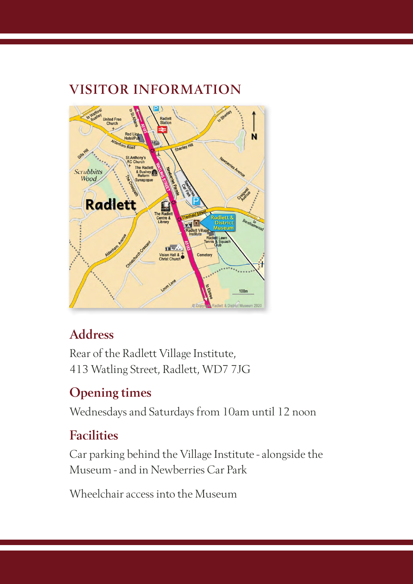# United Fr Ń Scrubbitts Wood **Radlett** m.  $\frac{1}{2}$  & lion Hall 100 ett & District Museum 2020

VISITOR INFORMATION

# Address

Rear of the Radlett Village Institute, 413 Watling Street, Radlett, WD7 7JG

# Opening times

Wednesdays and Saturdays from 10am until 12 noon

## Facilities

Car parking behind the Village Institute - alongside the Museum - and in Newberries Car Park

Wheelchair access into the Museum